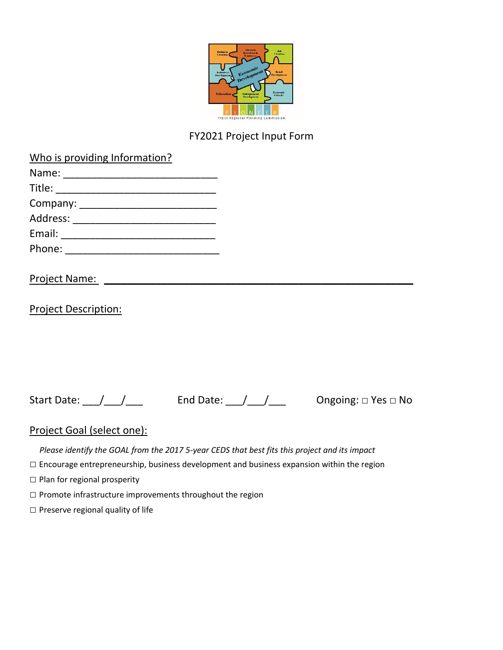

# FY2021 Project Input Form

| Who is providing Information?     |
|-----------------------------------|
|                                   |
| Title: _______________________    |
|                                   |
| Address: ________________________ |
| Email: ______________________     |
| Phone: ______________             |
|                                   |

### Project Name: \_\_\_\_\_\_\_\_\_\_\_\_\_\_\_\_\_\_\_\_\_\_\_\_\_\_\_\_\_\_\_\_\_\_\_\_\_\_\_\_\_\_\_\_\_\_\_\_\_\_\_\_\_\_

Project Description:

Start Date: \_\_\_/\_\_\_/\_\_\_\_ End Date: \_\_\_/\_\_\_/\_\_\_\_ Ongoing: □ Yes □ No

## Project Goal (select one):

*Please identify the GOAL from the 2017 5-year CEDS that best fits this project and its impact*

□ Encourage entrepreneurship, business development and business expansion within the region

 $\square$  Plan for regional prosperity

□ Promote infrastructure improvements throughout the region

□ Preserve regional quality of life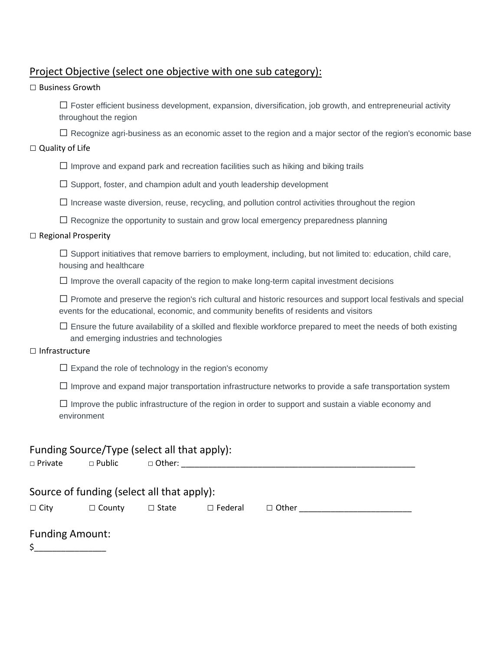## Project Objective (select one objective with one sub category):

#### $\Box$  Business Growth

 $\square$  Foster efficient business development, expansion, diversification, job growth, and entrepreneurial activity throughout the region

 $\Box$  Recognize agri-business as an economic asset to the region and a major sector of the region's economic base

#### □ Quality of Life

 $\square$  Improve and expand park and recreation facilities such as hiking and biking trails

 $\square$  Support, foster, and champion adult and youth leadership development

 $\square$  Increase waste diversion, reuse, recycling, and pollution control activities throughout the region

 $\square$  Recognize the opportunity to sustain and grow local emergency preparedness planning

#### □ Regional Prosperity

 $\square$  Support initiatives that remove barriers to employment, including, but not limited to: education, child care, housing and healthcare

 $\Box$  Improve the overall capacity of the region to make long-term capital investment decisions

 $\square$  Promote and preserve the region's rich cultural and historic resources and support local festivals and special events for the educational, economic, and community benefits of residents and visitors

 $\square$  Ensure the future availability of a skilled and flexible workforce prepared to meet the needs of both existing and emerging industries and technologies

#### □ Infrastructure

 $\square$  Expand the role of technology in the region's economy

 $\square$  Improve and expand major transportation infrastructure networks to provide a safe transportation system

 $\square$  Improve the public infrastructure of the region in order to support and sustain a viable economy and environment

| $\Box$ Private                                                                                                               |  | Funding Source/Type (select all that apply):<br>$\Box$ Public $\Box$ Other: |  |  |  |
|------------------------------------------------------------------------------------------------------------------------------|--|-----------------------------------------------------------------------------|--|--|--|
| Source of funding (select all that apply):<br>$\Box$ City<br>$\Box$ Other<br>$\Box$ Federal<br>$\Box$ County<br>$\Box$ State |  |                                                                             |  |  |  |
| <b>Funding Amount:</b><br>\$<br><u> 1999 - Johann Barnett, f</u> erre                                                        |  |                                                                             |  |  |  |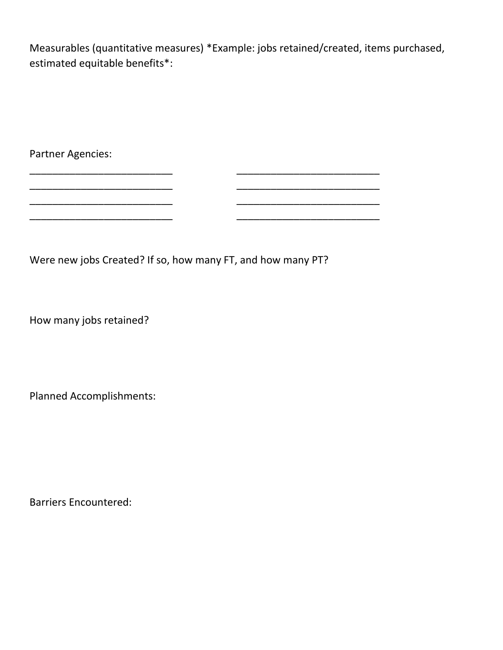Measurables (quantitative measures) \*Example: jobs retained/created, items purchased, estimated equitable benefits\*:

Partner Agencies:

Were new jobs Created? If so, how many FT, and how many PT?

\_\_\_\_\_\_\_\_\_\_\_\_\_\_\_\_\_\_\_\_\_\_\_\_\_ \_\_\_\_\_\_\_\_\_\_\_\_\_\_\_\_\_\_\_\_\_\_\_\_\_ \_\_\_\_\_\_\_\_\_\_\_\_\_\_\_\_\_\_\_\_\_\_\_\_\_ \_\_\_\_\_\_\_\_\_\_\_\_\_\_\_\_\_\_\_\_\_\_\_\_\_

\_\_\_\_\_\_\_\_\_\_\_\_\_\_\_\_\_\_\_\_\_\_\_\_\_ \_\_\_\_\_\_\_\_\_\_\_\_\_\_\_\_\_\_\_\_\_\_\_\_\_

How many jobs retained?

\_\_\_\_\_\_\_\_\_\_\_\_\_\_\_\_\_\_\_\_\_\_\_\_\_ \_\_\_\_\_\_\_\_\_\_\_\_\_\_\_\_\_\_\_\_\_\_\_\_\_

Planned Accomplishments:

Barriers Encountered: